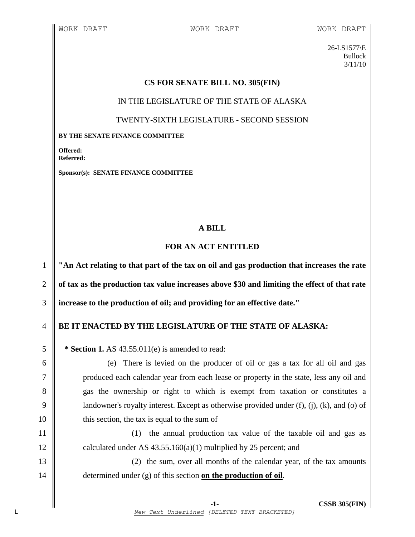26-LS1577\E Bullock 3/11/10

#### **CS FOR SENATE BILL NO. 305(FIN)**

IN THE LEGISLATURE OF THE STATE OF ALASKA

TWENTY-SIXTH LEGISLATURE - SECOND SESSION

#### **BY THE SENATE FINANCE COMMITTEE**

**Offered: Referred:** 

**Sponsor(s): SENATE FINANCE COMMITTEE**

## **A BILL**

## **FOR AN ACT ENTITLED**

1 **"An Act relating to that part of the tax on oil and gas production that increases the rate**  2 **of tax as the production tax value increases above \$30 and limiting the effect of that rate**  3 **increase to the production of oil; and providing for an effective date."**

# 4 **BE IT ENACTED BY THE LEGISLATURE OF THE STATE OF ALASKA:**

5 **\* Section 1.** AS 43.55.011(e) is amended to read:

 (e) There is levied on the producer of oil or gas a tax for all oil and gas produced each calendar year from each lease or property in the state, less any oil and gas the ownership or right to which is exempt from taxation or constitutes a 9 | landowner's royalty interest. Except as otherwise provided under  $(f)$ ,  $(i)$ ,  $(k)$ , and  $(o)$  of  $\parallel$  this section, the tax is equal to the sum of

11 || 12 calculated under AS  $43.55.160(a)(1)$  multiplied by 25 percent; and

13 (2) the sum, over all months of the calendar year, of the tax amounts 14 determined under (g) of this section **on the production of oil**.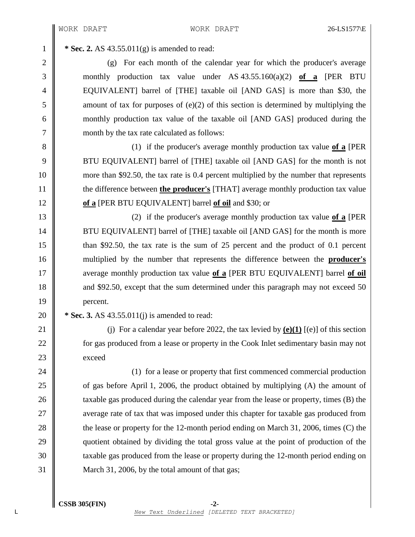1 **\* Sec. 2.** AS 43.55.011(g) is amended to read:

2 (g) For each month of the calendar year for which the producer's average monthly production tax value under AS 43.55.160(a)(2) **of a** [PER BTU EQUIVALENT] barrel of [THE] taxable oil [AND GAS] is more than \$30, the  $5 \parallel$  amount of tax for purposes of (e)(2) of this section is determined by multiplying the monthly production tax value of the taxable oil [AND GAS] produced during the month by the tax rate calculated as follows:

8 (1) if the producer's average monthly production tax value **of a** [PER 9 BTU EQUIVALENT barrel of [THE] taxable oil [AND GAS] for the month is not 10 more than \$92.50, the tax rate is 0.4 percent multiplied by the number that represents 11 **the difference between the producer's** [THAT] average monthly production tax value 12 **of a** [PER BTU EQUIVALENT] barrel **of oil** and \$30; or

13 (2) if the producer's average monthly production tax value **of a** [PER 14 STU EQUIVALENT] barrel of [THE] taxable oil [AND GAS] for the month is more 15 than \$92.50, the tax rate is the sum of 25 percent and the product of 0.1 percent 16 multiplied by the number that represents the difference between the **producer's** 17 average monthly production tax value **of a** [PER BTU EQUIVALENT] barrel **of oil** 18 and \$92.50, except that the sum determined under this paragraph may not exceed 50 19 percent.

20 **\*** Sec. 3. AS 43.55.011(j) is amended to read:

21  $\parallel$  (j) For a calendar year before 2022, the tax levied by  $\parallel$  (e)  $\parallel$  (e) of this section 22 **for gas produced from a lease or property in the Cook Inlet sedimentary basin may not** 23 exceed

24 (1) for a lease or property that first commenced commercial production 25 of gas before April 1, 2006, the product obtained by multiplying (A) the amount of 26 taxable gas produced during the calendar year from the lease or property, times (B) the 27 average rate of tax that was imposed under this chapter for taxable gas produced from 28 the lease or property for the 12-month period ending on March 31, 2006, times (C) the 29 quotient obtained by dividing the total gross value at the point of production of the 30  $\parallel$  taxable gas produced from the lease or property during the 12-month period ending on 31 March 31, 2006, by the total amount of that gas;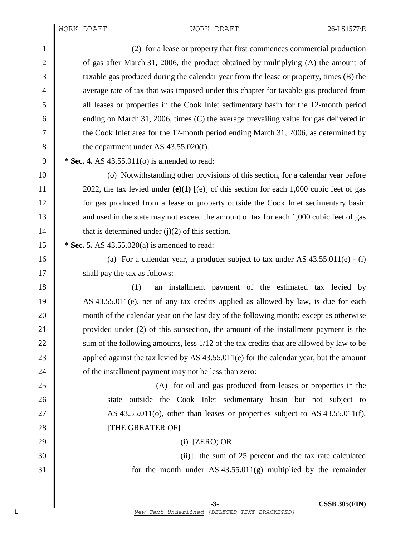#### WORK DRAFT 26-LS1577\E

1 (2) for a lease or property that first commences commercial production 2 of gas after March 31, 2006, the product obtained by multiplying (A) the amount of 3 taxable gas produced during the calendar year from the lease or property, times (B) the 4 werage rate of tax that was imposed under this chapter for taxable gas produced from 5 all leases or properties in the Cook Inlet sedimentary basin for the 12-month period 6 comparison March 31, 2006, times  $(C)$  the average prevailing value for gas delivered in 7 the Cook Inlet area for the 12-month period ending March 31, 2006, as determined by 8  $\parallel$  the department under AS 43.55.020(f). 9 **\* Sec. 4.** AS 43.55.011(o) is amended to read: 10 (o) Notwithstanding other provisions of this section, for a calendar year before 11  $\parallel$  2022, the tax levied under  $\left(\frac{e}{1}\right)$   $\left[\frac{e}{1}\right]$  of this section for each 1,000 cubic feet of gas 12 for gas produced from a lease or property outside the Cook Inlet sedimentary basin 13 and used in the state may not exceed the amount of tax for each 1,000 cubic feet of gas 14  $\parallel$  that is determined under (j)(2) of this section. 15 **\* Sec. 5.** AS 43.55.020(a) is amended to read: 16 (a) For a calendar year, a producer subject to tax under AS 43.55.011(e) - (i) 17 | shall pay the tax as follows: 18 || (1) an installment payment of the estimated tax levied by 19 AS 43.55.011(e), net of any tax credits applied as allowed by law, is due for each 20 month of the calendar year on the last day of the following month; except as otherwise 21 provided under (2) of this subsection, the amount of the installment payment is the 22  $\parallel$  sum of the following amounts, less 1/12 of the tax credits that are allowed by law to be 23  $\parallel$  applied against the tax levied by AS 43.55.011(e) for the calendar year, but the amount 24 **||** of the installment payment may not be less than zero: 25 (A) for oil and gas produced from leases or properties in the 26 State outside the Cook Inlet sedimentary basin but not subject to 27  $\parallel$  AS 43.55.011(o), other than leases or properties subject to AS 43.55.011(f), 28 || [THE GREATER OF] 29  $\parallel$  (i) [ZERO; OR 30 (ii)] the sum of 25 percent and the tax rate calculated  $31 \parallel$  for the month under AS 43.55.011(g) multiplied by the remainder

**-3- CSSB 305(FIN)** L *New Text Underlined [DELETED TEXT BRACKETED]*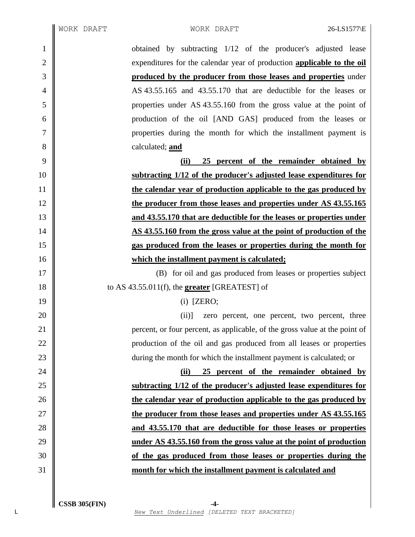| $\mathbf{1}$   | obtained by subtracting 1/12 of the producer's adjusted lease                 |
|----------------|-------------------------------------------------------------------------------|
| $\overline{2}$ | expenditures for the calendar year of production <b>applicable to the oil</b> |
| 3              | produced by the producer from those leases and properties under               |
| $\overline{4}$ | AS 43.55.165 and 43.55.170 that are deductible for the leases or              |
| 5              | properties under AS 43.55.160 from the gross value at the point of            |
| 6              | production of the oil [AND GAS] produced from the leases or                   |
| 7              | properties during the month for which the installment payment is              |
| 8              | calculated; and                                                               |
| 9              | 25 percent of the remainder obtained by<br>(ii)                               |
| 10             | subtracting 1/12 of the producer's adjusted lease expenditures for            |
| 11             | the calendar year of production applicable to the gas produced by             |
| 12             | the producer from those leases and properties under AS 43.55.165              |
| 13             | and 43.55.170 that are deductible for the leases or properties under          |
| 14             | AS 43.55.160 from the gross value at the point of production of the           |
| 15             | gas produced from the leases or properties during the month for               |
| 16             | which the installment payment is calculated;                                  |
| 17             | (B) for oil and gas produced from leases or properties subject                |
| 18             | to AS $43.55.011(f)$ , the <b>greater</b> [GREATEST] of                       |
| 19             | $(i)$ [ZERO;                                                                  |
| 20             | zero percent, one percent, two percent, three<br>$(ii)$ ]                     |
| 21             | percent, or four percent, as applicable, of the gross value at the point of   |
| 22             | production of the oil and gas produced from all leases or properties          |
| 23             | during the month for which the installment payment is calculated; or          |
| 24             | (ii)<br>25 percent of the remainder obtained by                               |
| 25             | subtracting 1/12 of the producer's adjusted lease expenditures for            |
| 26             | the calendar year of production applicable to the gas produced by             |
| 27             | the producer from those leases and properties under AS 43.55.165              |
| 28             | and 43.55.170 that are deductible for those leases or properties              |
| 29             | under AS 43.55.160 from the gross value at the point of production            |
| 30             | of the gas produced from those leases or properties during the                |
| 31             | month for which the installment payment is calculated and                     |
|                |                                                                               |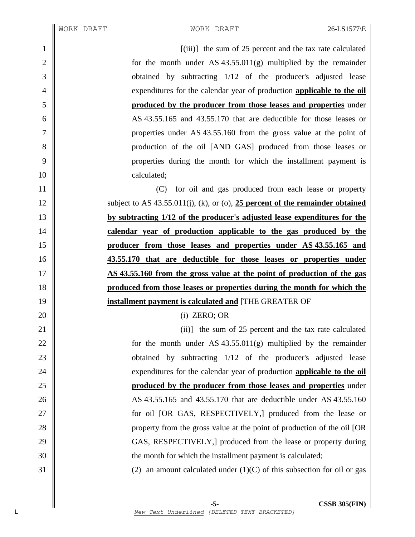[(iii)] the sum of 25 percent and the tax rate calculated  $\parallel$  for the month under AS 43.55.011(g) multiplied by the remainder 3 **S**  expenditures for the calendar year of production **applicable to the oil produced by the producer from those leases and properties** under AS 43.55.165 and 43.55.170 that are deductible for those leases or properties under AS 43.55.160 from the gross value at the point of 8 || properties during the month for which the installment payment is 10 calculated; (C) for oil and gas produced from each lease or property subject to AS 43.55.011(j), (k), or (o), **25 percent of the remainder obtained by subtracting 1/12 of the producer's adjusted lease expenditures for the calendar year of production applicable to the gas produced by the producer from those leases and properties under AS 43.55.165 and 43.55.170 that are deductible for those leases or properties under AS 43.55.160 from the gross value at the point of production of the gas produced from those leases or properties during the month for which the installment payment is calculated and** [THE GREATER OF  $\parallel$  (i) ZERO; OR 21 ||  $\parallel$  for the month under AS 43.55.011(g) multiplied by the remainder **||** obtained by subtracting 1/12 of the producer's adjusted lease **expenditures** for the calendar year of production **applicable to the oil produced by the producer from those leases and properties** under 26 AS 43.55.165 and 43.55.170 that are deductible under AS 43.55.160 27 || for oil [OR GAS, RESPECTIVELY,] produced from the lease or **property from the gross value at the point of production of the oil [OR** 29 GAS, RESPECTIVELY, produced from the lease or property during  $\parallel$  the month for which the installment payment is calculated;  $\parallel$  (2) an amount calculated under (1)(C) of this subsection for oil or gas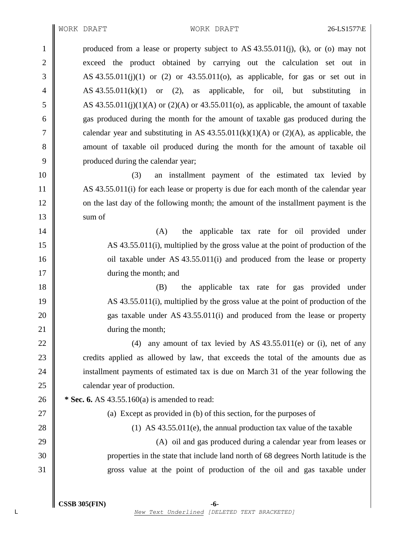WORK DRAFT WORK DRAFT 26-LS1577\E

1 produced from a lease or property subject to AS  $43.55.011(i)$ , (k), or (o) may not 2 exceed the product obtained by carrying out the calculation set out in  $3 \parallel$  AS 43.55.011(j)(1) or (2) or 43.55.011(o), as applicable, for gas or set out in 4 AS 43.55.011(k)(1) or (2), as applicable, for oil, but substituting in 5 AS 43.55.011(j)(1)(A) or (2)(A) or 43.55.011(o), as applicable, the amount of taxable 6 gas produced during the month for the amount of taxable gas produced during the 7 calendar year and substituting in AS  $43.55.011(k)(1)(A)$  or  $(2)(A)$ , as applicable, the 8 amount of taxable oil produced during the month for the amount of taxable oil 9 | produced during the calendar year;

10 || (3) an installment payment of the estimated tax levied by 11 AS 43.55.011(i) for each lease or property is due for each month of the calendar year 12 on the last day of the following month; the amount of the installment payment is the  $13 \parallel$  sum of

14 || (A) the applicable tax rate for oil provided under 15 AS 43.55.011(i), multiplied by the gross value at the point of production of the 16 **order AS** 43.55.011(i) and produced from the lease or property 17 || during the month; and

 (B) the applicable tax rate for gas provided under AS 43.55.011(i), multiplied by the gross value at the point of production of the gas taxable under AS 43.55.011(i) and produced from the lease or property 21 | during the month;

22 (4) any amount of tax levied by AS  $43.55.011(e)$  or (i), net of any 23 credits applied as allowed by law, that exceeds the total of the amounts due as 24 installment payments of estimated tax is due on March 31 of the year following the 25 **calendar year of production.** 

26 **\*** Sec. 6. AS 43.55.160(a) is amended to read:

27  $\parallel$  (a) Except as provided in (b) of this section, for the purposes of

28  $\parallel$  (1) AS 43.55.011(e), the annual production tax value of the taxable

29 (A) oil and gas produced during a calendar year from leases or 30 properties in the state that include land north of 68 degrees North latitude is the 31 gross value at the point of production of the oil and gas taxable under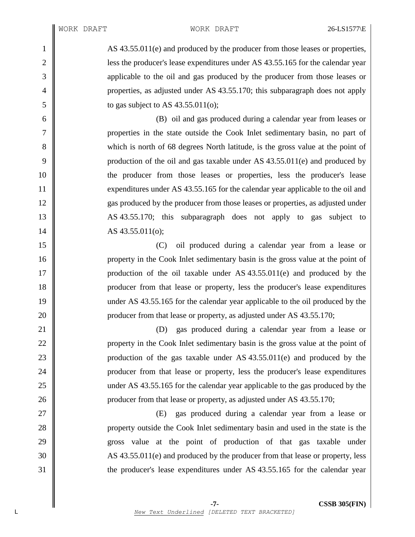AS 43.55.011(e) and produced by the producer from those leases or properties, 2 Solution 2 less the producer's lease expenditures under AS 43.55.165 for the calendar year applicable to the oil and gas produced by the producer from those leases or properties, as adjusted under AS 43.55.170; this subparagraph does not apply  $\overline{5}$  | to gas subject to AS 43.55.011(o);

 (B) oil and gas produced during a calendar year from leases or properties in the state outside the Cook Inlet sedimentary basin, no part of 8 which is north of 68 degrees North latitude, is the gross value at the point of 9 production of the oil and gas taxable under AS 43.55.011(e) and produced by **the producer from those leases or properties**, less the producer's lease 11 expenditures under AS 43.55.165 for the calendar year applicable to the oil and gas produced by the producer from those leases or properties, as adjusted under AS 43.55.170; this subparagraph does not apply to gas subject to 14 AS 43.55.011(o);

 (C) oil produced during a calendar year from a lease or property in the Cook Inlet sedimentary basin is the gross value at the point of production of the oil taxable under AS 43.55.011(e) and produced by the producer from that lease or property, less the producer's lease expenditures under AS 43.55.165 for the calendar year applicable to the oil produced by the **producer from that lease or property, as adjusted under AS 43.55.170;** 

 (D) gas produced during a calendar year from a lease or **property in the Cook Inlet sedimentary basin is the gross value at the point of** 23 production of the gas taxable under AS 43.55.011(e) and produced by the **producer from that lease or property, less the producer's lease expenditures** 25 under AS 43.55.165 for the calendar year applicable to the gas produced by the **producer from that lease or property, as adjusted under AS 43.55.170;** 

 (E) gas produced during a calendar year from a lease or **property outside the Cook Inlet sedimentary basin and used in the state is the**  gross value at the point of production of that gas taxable under AS 43.55.011(e) and produced by the producer from that lease or property, less the producer's lease expenditures under AS 43.55.165 for the calendar year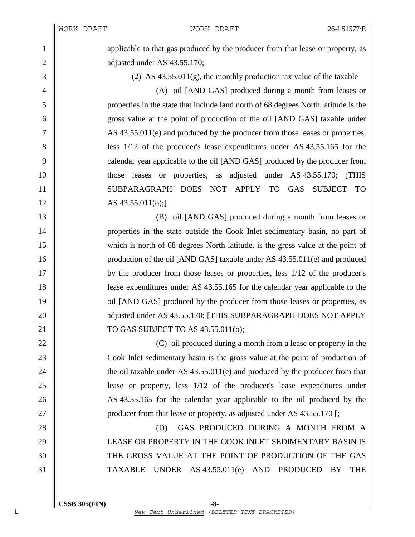1 applicable to that gas produced by the producer from that lease or property, as 2 adjusted under AS 43.55.170;

 $\begin{array}{c|c}\n 3 & (2) & \text{AS } 43.55.011(g), \text{ the monthly production tax value of the taxable}\n \end{array}$ 

4 (A) oil [AND GAS] produced during a month from leases or 5 properties in the state that include land north of 68 degrees North latitude is the 6 gross value at the point of production of the oil [AND GAS] taxable under 7 AS 43.55.011(e) and produced by the producer from those leases or properties, 8 Supersection 1/12 of the producer's lease expenditures under AS 43.55.165 for the 9 calendar year applicable to the oil [AND GAS] produced by the producer from 10 those leases or properties, as adjusted under AS 43.55.170; [THIS 11 SUBPARAGRAPH DOES NOT APPLY TO GAS SUBJECT TO 12  $\parallel$  AS 43.55.011(o);

 (B) oil [AND GAS] produced during a month from leases or properties in the state outside the Cook Inlet sedimentary basin, no part of which is north of 68 degrees North latitude, is the gross value at the point of **production of the oil [AND GAS] taxable under AS 43.55.011(e) and produced**  by the producer from those leases or properties, less 1/12 of the producer's 18 || lease expenditures under AS 43.55.165 for the calendar year applicable to the 19 oil [AND GAS] produced by the producer from those leases or properties, as **adjusted under AS 43.55.170; [THIS SUBPARAGRAPH DOES NOT APPLY** 21 || TO GAS SUBJECT TO AS  $43.55.011(0);$ 

22 (C) oil produced during a month from a lease or property in the 23 Cook Inlet sedimentary basin is the gross value at the point of production of 24  $\parallel$  the oil taxable under AS 43.55.011(e) and produced by the producer from that 25 **lease** or property, less  $1/12$  of the producer's lease expenditures under 26 AS 43.55.165 for the calendar year applicable to the oil produced by the 27 | producer from that lease or property, as adjusted under AS 43.55.170 [;

28 (D) GAS PRODUCED DURING A MONTH FROM A 29 EXTERNAL PROPERTY IN THE COOK INLET SEDIMENTARY BASIN IS 30 THE GROSS VALUE AT THE POINT OF PRODUCTION OF THE GAS 31 TAXABLE UNDER AS 43.55.011(e) AND PRODUCED BY THE